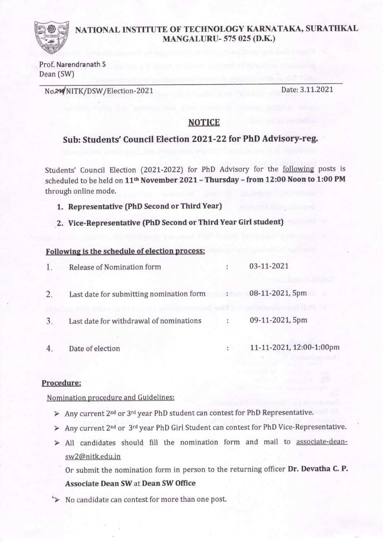### NATIONAL INSTITUTE OF TECHNOLOGY KARNATAKA, SURATHKAL **MANGALURU-575 025 (D.K.)**

Prof. Narendranath S Dean (SW)

No<sub>294</sub> NITK/DSW/Election-2021

Date: 3.11.2021

### **NOTICE**

### Sub: Students' Council Election 2021-22 for PhD Advisory-reg.

Students' Council Election (2021-2022) for PhD Advisory for the following posts is scheduled to be held on 11<sup>th</sup> November 2021 - Thursday - from 12:00 Noon to 1:00 PM through online mode.

- 1. Representative (PhD Second or Third Year)
- 2. Vice-Representative (PhD Second or Third Year Girl student)

# Following is the schedule of election process: and a state of state of election process:

|                | Release of Nomination form                                 | 03-11-2021                              |
|----------------|------------------------------------------------------------|-----------------------------------------|
| 2.             | Last date for submitting nomination form : 08-11-2021, 5pm | mines funk soll fun av italussengen Orf |
| 3              | Last date for withdrawal of nominations                    | 09-11-2021, 5pm                         |
| $\overline{4}$ | Date of election                                           | 11-11-2021, 12:00-1:00pm                |

#### Procedure:

Nomination procedure and Guidelines:

- $\triangleright$  Any current 2<sup>nd</sup> or 3<sup>rd</sup> year PhD student can contest for PhD Representative.
- > Any current 2<sup>nd</sup> or 3<sup>rd</sup> year PhD Girl Student can contest for PhD Vice-Representative.
- > All candidates should fill the nomination form and mail to associate-deansw2@nitk.edu.in

Or submit the nomination form in person to the returning officer Dr. Devatha C. P. **Associate Dean SW at Dean SW Office** 

No candidate can contest for more than one post.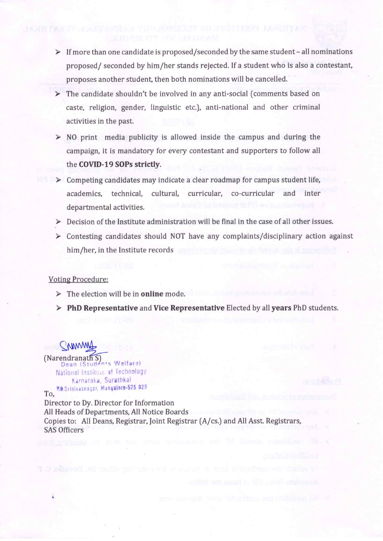- $\triangleright$  If more than one candidate is proposed/seconded by the same student all nominations proposed/ seconded by him/her stands rejected. If a student who is also a contestant, proposes another student, then both nominations will be cancelled.
- $\triangleright$  The candidate shouldn't be involved in any anti-social (comments based on caste, religion, gender, linguistic etc.), anti-national and other criminal activities in the past.
- $\triangleright$  NO print media publicity is allowed inside the campus and during the campaign, it is mandatory for every contestant and supporters to follow all the COVID-19 SOPs strictly.
- $\triangleright$  Competing candidates may indicate a clear roadmap for campus student life, academics. technical. cultural, curricular, co-curricular and inter departmental activities.
- > Decision of the Institute administration will be final in the case of all other issues.
- $\triangleright$  Contesting candidates should NOT have any complaints/disciplinary action against him/her, in the Institute records

#### **Voting Procedure:**

- $\triangleright$  The election will be in **online** mode.
- > PhD Representative and Vice Representative Elected by all years PhD students.

(Narendranath S)<br>Dean (Students Welfare) National Institute of Technology Karnataka, Surathkal P.O.Srinivasnagar, Mangalore-575 025 To.

in we we had the point of the property. Department of B

Director to Dy. Director for Information All Heads of Departments, All Notice Boards Copies to: All Deans, Registrar, Joint Registrar (A/cs.) and All Asst. Registrars, **SAS Officers**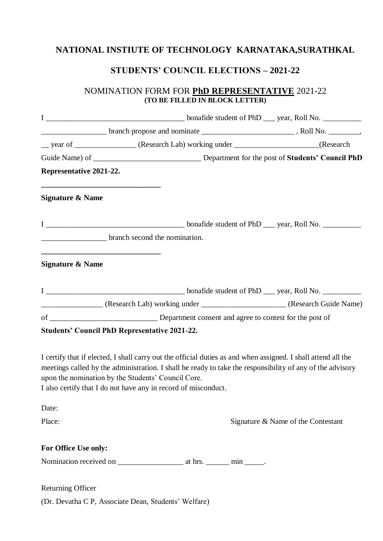# **NATIONAL INSTIUTE OF TECHNOLOGY KARNATAKA,SURATHKAL**

## **STUDENTS' COUNCIL ELECTIONS – 2021-22**

### NOMINATION FORM FOR **PhD REPRESENTATIVE** 2021-22 **(TO BE FILLED IN BLOCK LETTER)**

|                                                                                                                                                     | __ year of _________________ (Research Lab) working under ____________________(Research                                                                                                                                    |                                    |
|-----------------------------------------------------------------------------------------------------------------------------------------------------|----------------------------------------------------------------------------------------------------------------------------------------------------------------------------------------------------------------------------|------------------------------------|
|                                                                                                                                                     |                                                                                                                                                                                                                            |                                    |
| Representative 2021-22.                                                                                                                             |                                                                                                                                                                                                                            |                                    |
| <u> 1989 - Johann John Stone, market fan it ferskearre fan it ferskearre fan it ferskearre fan it ferskearre fan</u><br><b>Signature &amp; Name</b> |                                                                                                                                                                                                                            |                                    |
|                                                                                                                                                     |                                                                                                                                                                                                                            |                                    |
| branch second the nomination.                                                                                                                       |                                                                                                                                                                                                                            |                                    |
| <b>Signature &amp; Name</b>                                                                                                                         |                                                                                                                                                                                                                            |                                    |
|                                                                                                                                                     |                                                                                                                                                                                                                            |                                    |
|                                                                                                                                                     | (Research Lab) working under (Research Guide Name)                                                                                                                                                                         |                                    |
|                                                                                                                                                     |                                                                                                                                                                                                                            |                                    |
| <b>Students' Council PhD Representative 2021-22.</b>                                                                                                |                                                                                                                                                                                                                            |                                    |
| upon the nomination by the Students' Council Core.<br>I also certify that I do not have any in record of misconduct.                                | I certify that if elected, I shall carry out the official duties as and when assigned. I shall attend all the<br>meetings called by the administration. I shall be ready to take the responsibility of any of the advisory |                                    |
| Date:                                                                                                                                               |                                                                                                                                                                                                                            |                                    |
| Place:                                                                                                                                              |                                                                                                                                                                                                                            | Signature & Name of the Contestant |
| For Office Use only:                                                                                                                                |                                                                                                                                                                                                                            |                                    |
|                                                                                                                                                     |                                                                                                                                                                                                                            |                                    |
| <b>Returning Officer</b>                                                                                                                            |                                                                                                                                                                                                                            |                                    |

(Dr. Devatha C P, Associate Dean, Students' Welfare)